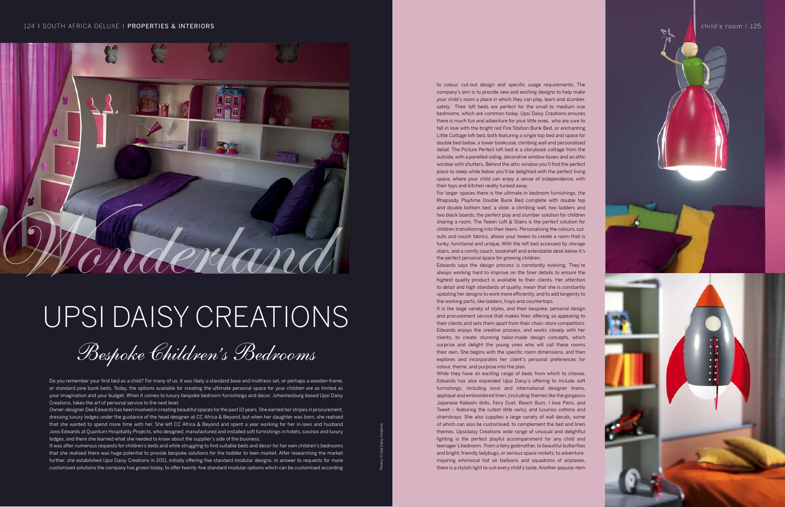## Upsi Daisy Creations

Bespoke Children's Bedrooms

Do you remember your first bed as a child? For many of us, it was likely a standard base and mattress set, or perhaps a wooden frame, or standard pine bunk beds. Today, the options available for creating the ultimate personal space for your children are as limited as your imagination and your budget. When it comes to luxury bespoke bedroom furnishings and decor, Johannesburg-based Upsi Daisy Creations, takes the art of personal service to the next level.

Owner-designer Dee Edwards has been involved in creating beautiful spaces for the past 10 years. She earned her stripes in procurement, dressing luxury lodges under the guidance of the head designer at CC Africa & Beyond, but when her daughter was born, she realised that she wanted to spend more time with her. She left CC Africa & Beyond and spent a year working for her in-laws and husband Jono Edwards at Quantum Hospitality Projects, who designed, manufactured and installed soft furnishings in hotels, casinos and luxury lodges, and there she learned what she needed to know about the supplier's side of the business.

It was after numerous requests for children's beds and while struggling to find suitable beds and decor for her own children's bedrooms that she realised there was huge potential to provide bespoke solutions for the toddler to teen market. After researching the market further, she established Upsi Daisy Creations in 2011, initially offering five standard modular designs. In answer to requests for more customised solutions the company has grown today, to offer twenty-five standard modular options which can be customised according

While they have an exciting range of beds from which to choose Edwards has also expanded Upsi Daisy's offering to include soft furnishings, including local and international designer linens, appliqué and embroidered linen, (including themes like the gorgeous Japanese Kokeshi dolls, Fairy Dust, Beach Bum, I love Paris, and Tweet – featuring the cutest little owls), and luxurios cottons and chambrays. She also supplies a large variety of wall decals, some of which can also be customised, to complement the bed and linen themes. Upsidaisy Creations wide range of unusual and delighftul lighting is the perfect playful accompaniment for any child and teenager's bedroom. From a fairy godmother, to beautiful butterflies and bright, friendly ladybugs, or serious space rockets, to adventureinspiring whimsical hot air balloons and squadrons of airplanes, there is a stylish light to suit every child's taste. Another popular item



to colour, cut-out design and specific usage requirements. The company's aim is to provide new and exciting designs to help make your child's room a place in which they can play, learn and slumber, safely. Their loft beds are perfect for the small to medium size bedrooms, which are common today. Upsi Daisy Creations ensures there is much fun and adventure for your little ones, who are sure to fall in love with the bright red Fire Station Bunk Bed, or enchanting Little Cottage loft-bed, both featuring a single top bed and space for double bed below, a tower bookcase, climbing wall and personalized detail. The Picture Perfect loft bed is a storybook cottage from the outside, with a panelled siding, decorative window-boxes and an attic window with shutters. Behind the attic window you'll find the perfect place to sleep while below you'll be delighted with the perfect living space, where your child can enjoy a sense of independence, with their toys and kitchen neatly tucked away. For larger spaces there is the ultimate in bedroom furnishings, the Rhapsody Playtime Double Bunk Bed complete with double top and double bottom bed, a slide, a climbing wall, two ladders and two black boards, the perfect play and slumber solution for children sharing a room. The Tween Loft & Stairs is the perfect solution for children transitioning into their teens. Personalising the colours, cutouts and couch fabrics, allows your tween to create a room that is funky, functional and unique. With the loft bed accessed by storage stairs, and a comfy couch, bookshelf and extendable desk below it's the perfect personal space for growing children. Edwards says the design process is constantly evolving. They're always working hard to improve on the finer details to ensure the highest quality product is available to their clients. Her attention to detail and high standards of quality, mean that she is constantly updating her designs to work more efficiently, and to add longevity to the working parts, like ladders, trays and countertops. It is the large variety of styles, and their bespoke, personal design and procurement service that makes their offering so appealing to their clients and sets them apart from their chain-store competitors. Edwards enjoys the creative process, and works closely with her clients, to create stunning tailor-made design concepts, which surprise and delight the young ones who will call these rooms their own. She begins with the specific room dimensions, and then explores and incorporates her client's personal preferences for colour, theme, and purpose into the plan.

## 124 I SOUTH AFRICA DELUXE I PROPERTIES & INTERIORS Child's room I 125



Photos: © Upsi Daisy Creations